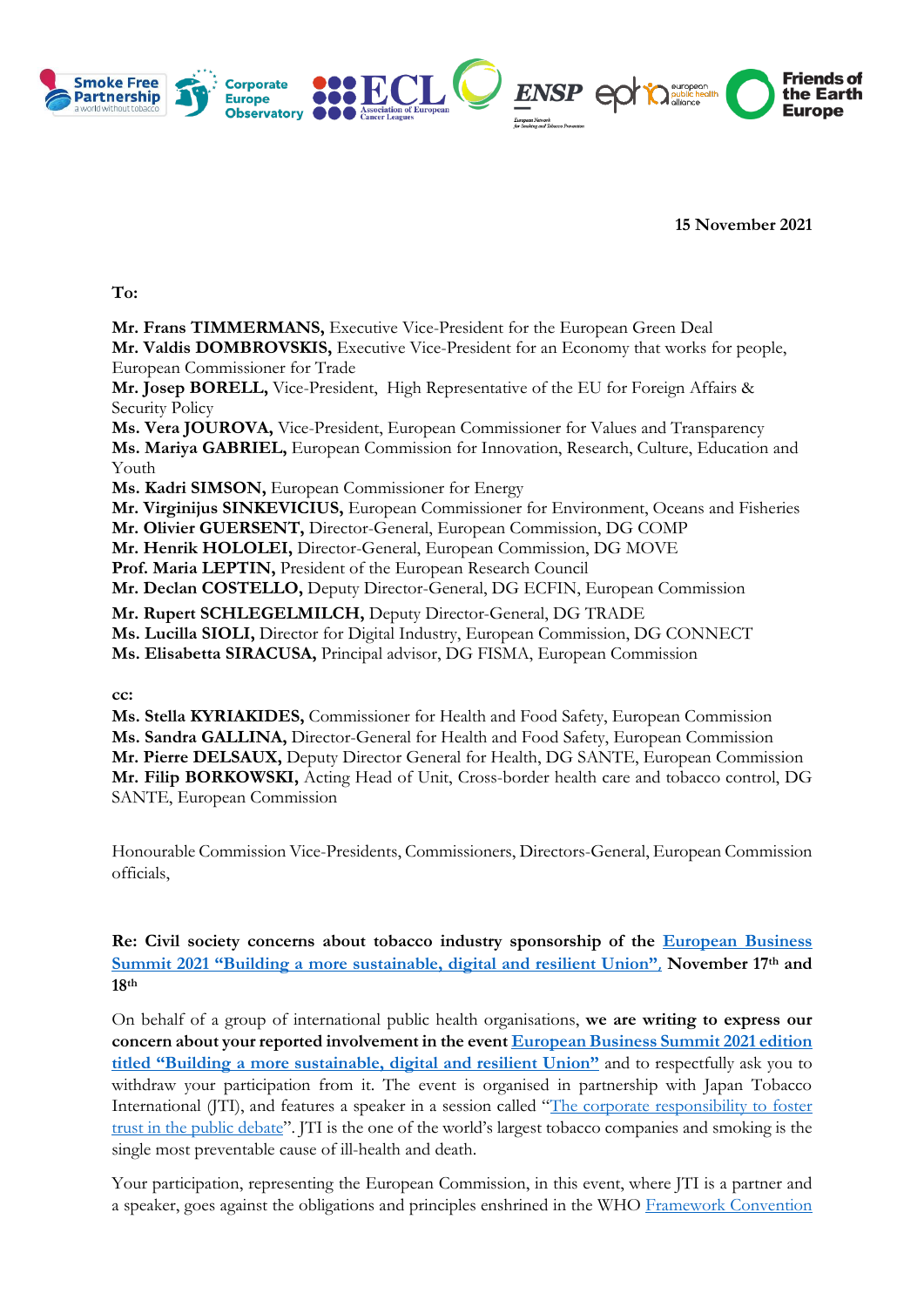

**15 November 2021**

**To:**

**Mr. Frans TIMMERMANS,** Executive Vice-President for the European Green Deal

**Mr. Valdis DOMBROVSKIS,** Executive Vice-President for an Economy that works for people, European Commissioner for Trade

**Mr. Josep BORELL,** Vice-President, High Representative of the EU for Foreign Affairs & Security Policy

**Ms. Vera JOUROVA,** Vice-President, European Commissioner for Values and Transparency **Ms. Mariya GABRIEL,** European Commission for Innovation, Research, Culture, Education and Youth

**Ms. Kadri SIMSON,** European Commissioner for Energy

**Mr. Virginijus SINKEVICIUS,** European Commissioner for Environment, Oceans and Fisheries

**Mr. Olivier GUERSENT,** Director-General, European Commission, DG COMP

**Mr. Henrik HOLOLEI,** Director-General, European Commission, DG MOVE

**Prof. Maria LEPTIN,** President of the European Research Council

**Mr. Declan COSTELLO,** Deputy Director-General, DG ECFIN, European Commission

**Mr. Rupert SCHLEGELMILCH,** Deputy Director-General, DG TRADE

**Ms. Lucilla SIOLI,** Director for Digital Industry, European Commission, DG CONNECT

**Ms. Elisabetta SIRACUSA,** Principal advisor, DG FISMA, European Commission

**cc:**

**Ms. Stella KYRIAKIDES,** Commissioner for Health and Food Safety, European Commission **Ms. Sandra GALLINA,** Director-General for Health and Food Safety, European Commission **Mr. Pierre DELSAUX,** Deputy Director General for Health, DG SANTE, European Commission **Mr. Filip BORKOWSKI,** Acting Head of Unit, Cross-border health care and tobacco control, DG SANTE, European Commission

Honourable Commission Vice-Presidents, Commissioners, Directors-General, European Commission officials,

**Re: Civil society concerns about tobacco industry sponsorship of the [European Business](https://ebsummit.eu/about/)  Summit 2021 ["Building a more sustainable, digital and resilient Union"](https://ebsummit.eu/about/)**, **November 17th and 18th**

On behalf of a group of international public health organisations, **we are writing to express our concern about your reported involvement in the even[t European Business Summit 2021 edition](https://ebsummit.eu/about/)  [titled "Building a more sustainable, digital and resilient Union"](https://ebsummit.eu/about/)** and to respectfully ask you to withdraw your participation from it. The event is organised in partnership with Japan Tobacco International (JTI), and features a speaker in a session called "[The corporate responsibility to foster](https://ebsummit.eu/ebs-2021/)  [trust in the public debate](https://ebsummit.eu/ebs-2021/)". JTI is the one of the world's largest tobacco companies and smoking is the single most preventable cause of ill-health and death.

Your participation, representing the European Commission, in this event, where JTI is a partner and a speaker, goes against the obligations and principles enshrined in the WHO [Framework Convention](https://www.who.int/fctc/en/)